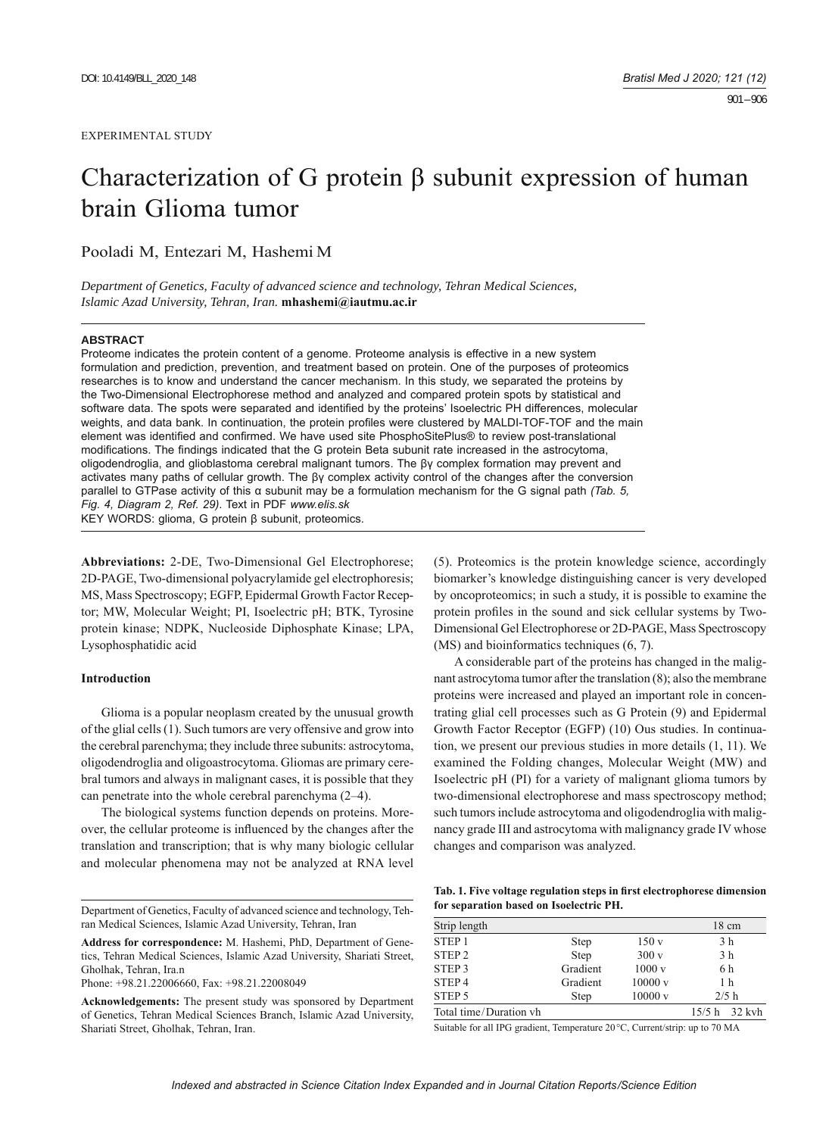# Characterization of G protein β subunit expression of human brain Glioma tumor

Pooladi M, Entezari M, Hashemi M

*Department of Genetics, Faculty of advanced science and technology, Tehran Medical Sciences, Islamic Azad University, Tehran, Iran.* **mhashemi@iautmu.ac.ir**

#### **ABSTRACT**

Proteome indicates the protein content of a genome. Proteome analysis is effective in a new system formulation and prediction, prevention, and treatment based on protein. One of the purposes of proteomics researches is to know and understand the cancer mechanism. In this study, we separated the proteins by the Two-Dimensional Electrophorese method and analyzed and compared protein spots by statistical and software data. The spots were separated and identified by the proteins' Isoelectric PH differences, molecular weights, and data bank. In continuation, the protein profiles were clustered by MALDI-TOF-TOF and the main element was identified and confirmed. We have used site PhosphoSitePlus® to review post-translational modifications. The findings indicated that the G protein Beta subunit rate increased in the astrocytoma, oligodendroglia, and glioblastoma cerebral malignant tumors. The βγ complex formation may prevent and activates many paths of cellular growth. The βγ complex activity control of the changes after the conversion parallel to GTPase activity of this α subunit may be a formulation mechanism for the G signal path *(Tab. 5, Fig. 4, Diagram 2, Ref. 29)*. Text in PDF *www.elis.sk* KEY WORDS: glioma, G protein β subunit, proteomics.

**Abbreviations:** 2-DE, Two-Dimensional Gel Electrophorese; 2D-PAGE, Two-dimensional polyacrylamide gel electrophoresis; MS, Mass Spectroscopy; EGFP, Epidermal Growth Factor Receptor; MW, Molecular Weight; PI, Isoelectric pH; BTK, Tyrosine protein kinase; NDPK, Nucleoside Diphosphate Kinase; LPA, Lysophosphatidic acid

## **Introduction**

Glioma is a popular neoplasm created by the unusual growth of the glial cells (1). Such tumors are very offensive and grow into the cerebral parenchyma; they include three subunits: astrocytoma, oligodendroglia and oligoastrocytoma. Gliomas are primary cerebral tumors and always in malignant cases, it is possible that they can penetrate into the whole cerebral parenchyma (2–4).

The biological systems function depends on proteins. Moreover, the cellular proteome is influenced by the changes after the translation and transcription; that is why many biologic cellular and molecular phenomena may not be analyzed at RNA level

Department of Genetics, Faculty of advanced science and technology, Tehran Medical Sciences, Islamic Azad University, Tehran, Iran

**Address for correspondence:** M. Hashemi, PhD, Department of Genetics, Tehran Medical Sciences, Islamic Azad University, Shariati Street, Gholhak, Tehran, Ira.n

Phone: +98.21.22006660, Fax: +98.21.22008049

**Acknowledgements:** The present study was sponsored by Department of Genetics, Tehran Medical Sciences Branch, Islamic Azad University, Shariati Street, Gholhak, Tehran, Iran.

(5). Proteomics is the protein knowledge science, accordingly biomarker's knowledge distinguishing cancer is very developed by oncoproteomics; in such a study, it is possible to examine the protein profiles in the sound and sick cellular systems by Two-Dimensional Gel Electrophorese or 2D-PAGE, Mass Spectroscopy (MS) and bioinformatics techniques (6, 7).

A considerable part of the proteins has changed in the malignant astrocytoma tumor after the translation (8); also the membrane proteins were increased and played an important role in concentrating glial cell processes such as G Protein (9) and Epidermal Growth Factor Receptor (EGFP) (10) Ous studies. In continuation, we present our previous studies in more details (1, 11). We examined the Folding changes, Molecular Weight (MW) and Isoelectric pH (PI) for a variety of malignant glioma tumors by two-dimensional electrophorese and mass spectroscopy method; such tumors include astrocytoma and oligodendroglia with malignancy grade III and astrocytoma with malignancy grade IV whose changes and comparison was analyzed.

| Tab. 1. Five voltage regulation steps in first electrophorese dimension |  |
|-------------------------------------------------------------------------|--|
| for separation based on Isoelectric PH.                                 |  |

| Strip length           |             |        | $18 \text{ cm}$ |
|------------------------|-------------|--------|-----------------|
| STEP <sub>1</sub>      | <b>Step</b> | 150v   | 3 h             |
| STEP <sub>2</sub>      | <b>Step</b> | 300v   | 3 h             |
| STEP <sub>3</sub>      | Gradient    | 1000v  | 6 h             |
| STEP <sub>4</sub>      | Gradient    | 10000v | 1 <sub>h</sub>  |
| STEP 5                 | <b>Step</b> | 10000v | 2/5 h           |
| Total time/Duration vh |             |        | $15/5 h$ 32 kvh |

Suitable for all IPG gradient, Temperature 20°C, Current/strip: up to 70 MA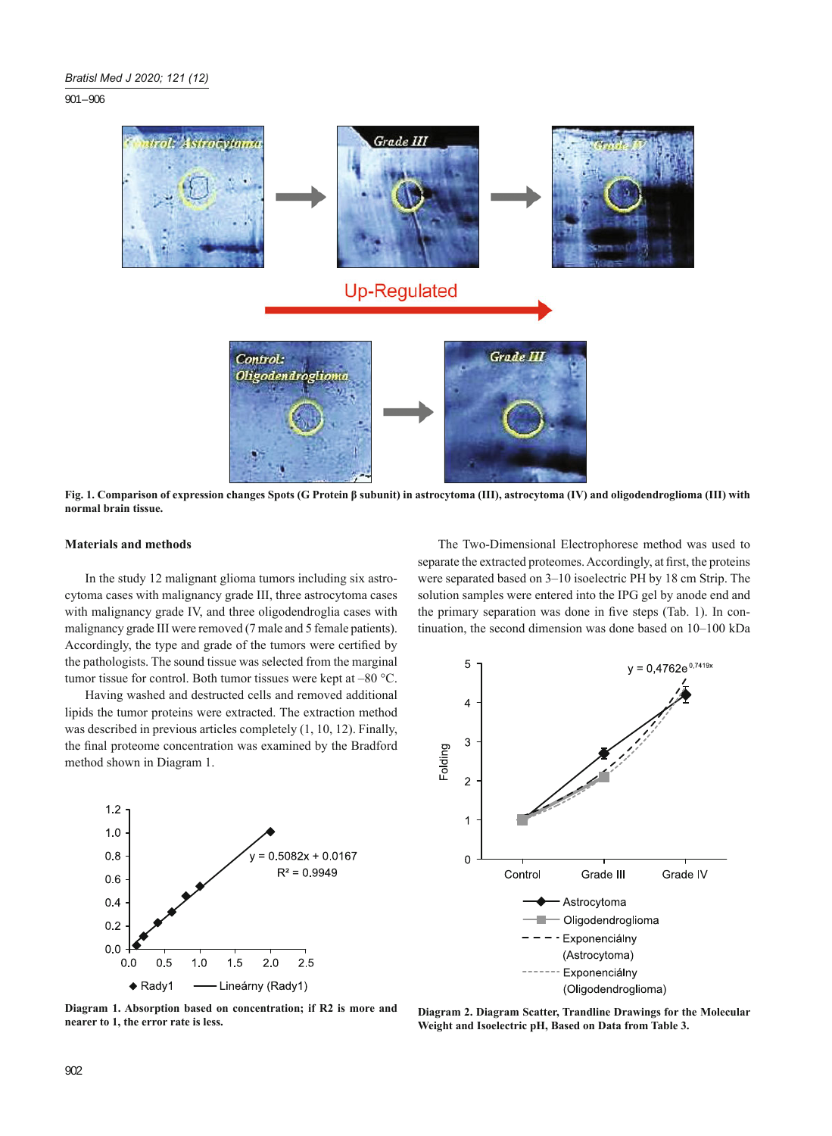901 – 906



**Fig. 1. Comparison of expression changes Spots (G Protein β subunit) in astrocytoma (III), astrocytoma (IV) and oligodendroglioma (III) with normal brain tissue.**

#### **Materials and methods**

In the study 12 malignant glioma tumors including six astrocytoma cases with malignancy grade III, three astrocytoma cases with malignancy grade IV, and three oligodendroglia cases with malignancy grade III were removed (7 male and 5 female patients). Accordingly, the type and grade of the tumors were certified by the pathologists. The sound tissue was selected from the marginal tumor tissue for control. Both tumor tissues were kept at –80 °C.

Having washed and destructed cells and removed additional lipids the tumor proteins were extracted. The extraction method was described in previous articles completely (1, 10, 12). Finally, the final proteome concentration was examined by the Bradford method shown in Diagram 1.



The Two-Dimensional Electrophorese method was used to separate the extracted proteomes. Accordingly, at first, the proteins were separated based on 3–10 isoelectric PH by 18 cm Strip. The solution samples were entered into the IPG gel by anode end and the primary separation was done in five steps (Tab. 1). In continuation, the second dimension was done based on 10–100 kDa



**Diagram 1. Absorption based on concentration; if R2 is more and nearer to 1, the error rate is less.**

**Diagram 2. Diagram Scatter, Trandline Drawings for the Molecular Weight and Isoelectric pH, Based on Data from Table 3.**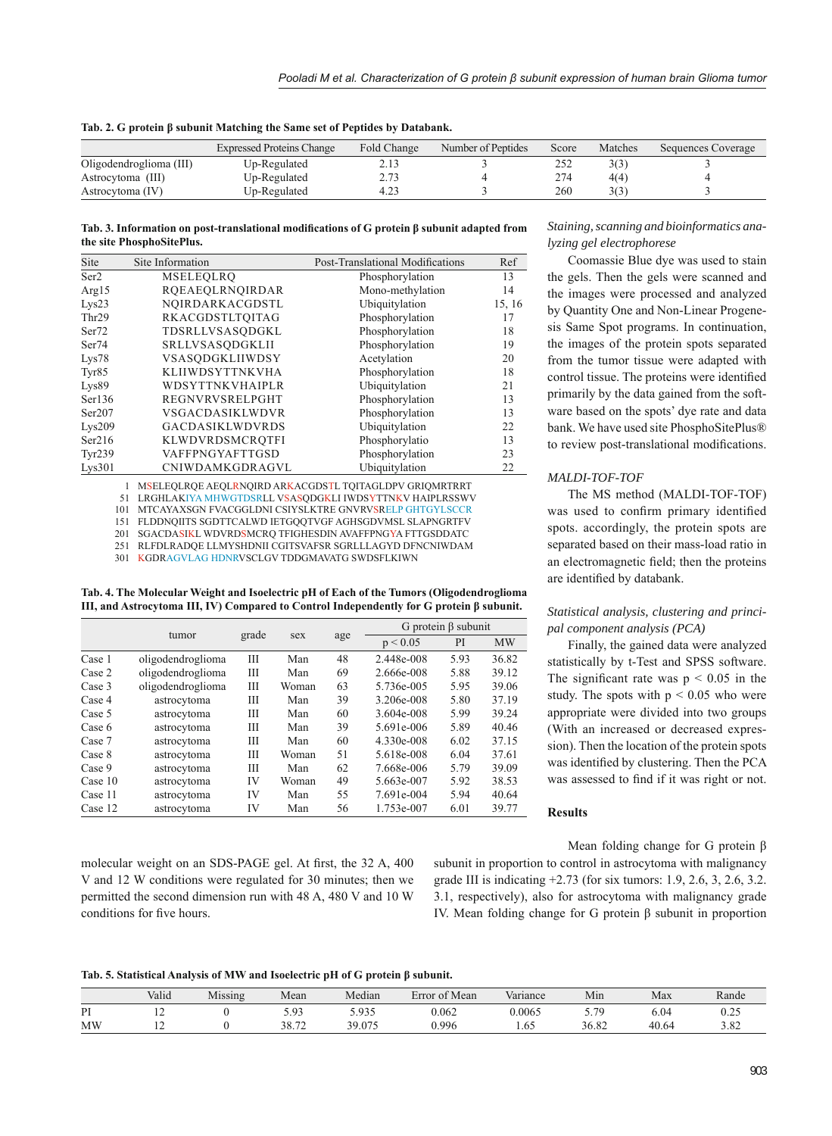| Tab. 2. G protein β subunit Matching the Same set of Peptides by Databank. |  |  |
|----------------------------------------------------------------------------|--|--|
|----------------------------------------------------------------------------|--|--|

|                         | <b>Expressed Proteins Change</b> | Fold Change | Number of Peptides | Score | Matches | Sequences Coverage |
|-------------------------|----------------------------------|-------------|--------------------|-------|---------|--------------------|
| Oligodendroglioma (III) | Up-Regulated                     |             |                    | 252   |         |                    |
| Astrocytoma (III)       | Up-Regulated                     | רי ר        |                    | 274   | 4(4)    |                    |
| Astrocytoma (IV)        | Up-Regulated                     |             |                    | 260   |         |                    |

Tab. 3. Information on post-translational modifications of G protein β subunit adapted from **the site PhosphoSitePlus.**

| Site              | Site Information       | Post-Translational Modifications | Ref    |
|-------------------|------------------------|----------------------------------|--------|
| Ser <sub>2</sub>  | MSELEOLRO              | Phosphorylation                  | 13     |
| Arg $15$          | ROEAEQLRNQIRDAR        | Mono-methylation                 | 14     |
| Lys23             | NOIRDARKACGDSTL        | Ubiquitylation                   | 15, 16 |
| Thr <sub>29</sub> | RKACGDSTLTOITAG        | Phosphorylation                  | 17     |
| Ser <sub>72</sub> | TDSRLLVSASODGKL        | Phosphorylation                  | 18     |
| Ser74             | SRLLVSASODGKLII        | Phosphorylation                  | 19     |
| Lys78             | VSASODGKLIIWDSY        | Acetylation                      | 20     |
| Tyr85             | <b>KLIIWDSYTTNKVHA</b> | Phosphorylation                  | 18     |
| Lys89             | WDSYTTNKVHAIPLR        | Ubiquitylation                   | 21     |
| Ser136            | REGNVRVSRELPGHT        | Phosphorylation                  | 13     |
| Ser207            | <b>VSGACDASIKLWDVR</b> | Phosphorylation                  | 13     |
| Lys209            | <b>GACDASIKLWDVRDS</b> | Ubiquitylation                   | 22     |
| Ser216            | KLWDVRDSMCROTFI        | Phosphorylatio                   | 13     |
| Tyr239            | VAFFPNGYAFTTGSD        | Phosphorylation                  | 23     |
| Lvs301            | CNIWDAMKGDRAGVL        | Ubiquitylation                   | 22     |

1 MSELEQLRQE AEQLRNQIRD ARKACGDSTL TQITAGLDPV GRIQMRTRRT

51 LRGHLAKIYA MHWGTDSRLL VSASQDGKLI IWDSYTTNKV HAIPLRSSWV

101 MTCAYAXSGN FVACGGLDNI CSIYSLKTRE GNVRVSRELP GHTGYLSCCR

151 FLDDNQIITS SGDTTCALWD IETGQQTVGF AGHSGDVMSL SLAPNGRTFV

201 251 SGACDASIKL WDVRDSMCRQ TFIGHESDIN AVAFFPNGYA FTTGSDDATC RLFDLRADQE LLMYSHDNII CGITSVAFSR SGRLLLAGYD DFNCNIWDAM

301 KGDRAGVLAG HDNRVSCLGV TDDGMAVATG SWDSFLKIWN

**Tab. 4. The Molecular Weight and Isoelectric pH of Each of the Tumors (Oligodendroglioma III, and Astrocytoma III, IV) Compared to Control Independently for G protein β subunit.**

|         |                   |       | sex   | age | G protein $\beta$ subunit |      |           |  |
|---------|-------------------|-------|-------|-----|---------------------------|------|-----------|--|
|         | tumor             | grade |       |     | p < 0.05                  | PI   | <b>MW</b> |  |
| Case 1  | oligodendroglioma | Ш     | Man   | 48  | 2.448e-008                | 5.93 | 36.82     |  |
| Case 2  | oligodendroglioma | Ш     | Man   | 69  | 2.666e-008                | 5.88 | 39.12     |  |
| Case 3  | oligodendroglioma | Ш     | Woman | 63  | 5.736e-005                | 5.95 | 39.06     |  |
| Case 4  | astrocytoma       | Ш     | Man   | 39  | 3.206e-008                | 5.80 | 37.19     |  |
| Case 5  | astrocytoma       | Ш     | Man   | 60  | 3.604e-008                | 5.99 | 39.24     |  |
| Case 6  | astrocytoma       | Ш     | Man   | 39  | 5.691e-006                | 5.89 | 40.46     |  |
| Case 7  | astrocytoma       | Ш     | Man   | 60  | 4.330e-008                | 6.02 | 37.15     |  |
| Case 8  | astrocytoma       | Ш     | Woman | 51  | 5.618e-008                | 6.04 | 37.61     |  |
| Case 9  | astrocytoma       | Ш     | Man   | 62  | 7.668e-006                | 5.79 | 39.09     |  |
| Case 10 | astrocytoma       | IV    | Woman | 49  | 5.663e-007                | 5.92 | 38.53     |  |
| Case 11 | astrocytoma       | IV    | Man   | 55  | 7.691e-004                | 5.94 | 40.64     |  |
| Case 12 | astrocytoma       | IV    | Man   | 56  | 1.753e-007                | 6.01 | 39.77     |  |

molecular weight on an SDS-PAGE gel. At first, the 32 A, 400 V and 12 W conditions were regulated for 30 minutes; then we permitted the second dimension run with 48 A, 480 V and 10 W conditions for five hours.

# *Staining, scanning and bioinformatics analyzing gel electrophorese*

Coomassie Blue dye was used to stain the gels. Then the gels were scanned and the images were processed and analyzed by Quantity One and Non-Linear Progenesis Same Spot programs. In continuation, the images of the protein spots separated from the tumor tissue were adapted with control tissue. The proteins were identified primarily by the data gained from the software based on the spots' dye rate and data bank. We have used site PhosphoSitePlus® to review post-translational modifications.

## *MALDI-TOF-TOF*

The MS method (MALDI-TOF-TOF) was used to confirm primary identified spots. accordingly, the protein spots are separated based on their mass-load ratio in an electromagnetic field; then the proteins are identified by databank.

## *Statistical analysis, clustering and principal component analysis (PCA)*

Finally, the gained data were analyzed statistically by t-Test and SPSS software. The significant rate was  $p < 0.05$  in the study. The spots with  $p \le 0.05$  who were appropriate were divided into two groups (With an increased or decreased expression). Then the location of the protein spots was identified by clustering. Then the PCA was assessed to find if it was right or not.

### **Results**

Mean folding change for G protein β subunit in proportion to control in astrocytoma with malignancy grade III is indicating +2.73 (for six tumors: 1.9, 2.6, 3, 2.6, 3.2. 3.1, respectively), also for astrocytoma with malignancy grade IV. Mean folding change for G protein β subunit in proportion

### **Tab. 5. Statistical Analysis of MW and Isoelectric pH of G protein β subunit.**

|           | Valid          | Missing | Mean           | Median       | $\epsilon$ Mean<br>Error of | $\mathbf{v}$ $\mathbf{v}$<br>Variance | Mın   | Max   | Rande                        |
|-----------|----------------|---------|----------------|--------------|-----------------------------|---------------------------------------|-------|-------|------------------------------|
| PI        | 1 A            |         | ร ดว<br>ン・フー   | 035<br>J.JJJ | 0.062                       | 0.0065                                | 70    | 0.04  | $\sim$ $\sim$ $\sim$<br>∪.∠J |
| <b>MW</b> | $\overline{ }$ |         | 20.72<br>30.IZ | 39.075       | 0.996                       | 1.65                                  | 36.82 | 40.64 | 200<br>2.02                  |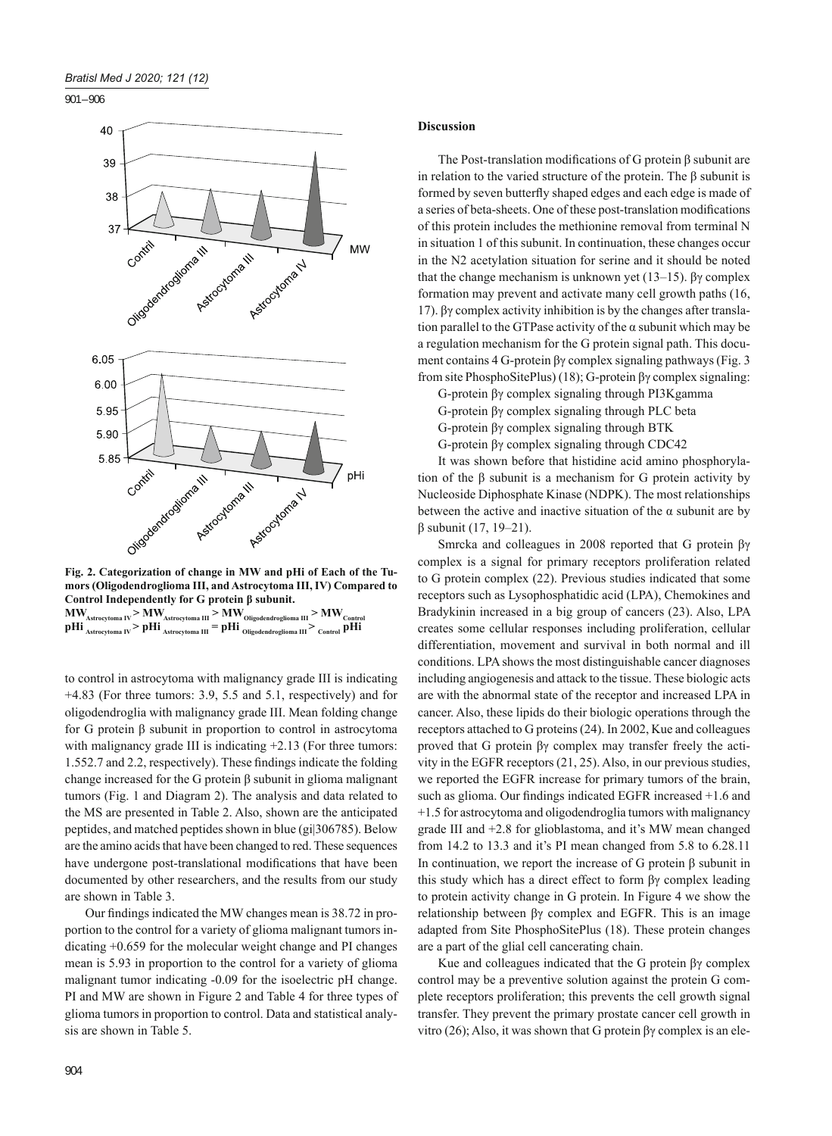901 – 906



**mors (Oligodendroglioma III, and Astrocytoma III, IV) Compared to Control Independently for G protein β subunit.**  $\textbf{MW}_{\textbf{Astrocytoma IV}}$  >  $\textbf{MW}_{\textbf{Astrocytoma III}}$  >  $\textbf{MW}_{\textbf{Oligodendroglioma III}}$  >  $\textbf{MW}_{\textbf{Controlrol}}$  $p\rm{Hi}_{\rm Astrocytoma\ IV}$  >  $p\rm{Hi}_{\rm Astrocytoma\ III}$  =  $p\rm{Hi}_{\rm Oligodendroglioma\ III}$  >  $_{\rm Control}$   $p\rm{Hi}$ 

to control in astrocytoma with malignancy grade III is indicating +4.83 (For three tumors: 3.9, 5.5 and 5.1, respectively) and for oligodendroglia with malignancy grade III. Mean folding change for G protein β subunit in proportion to control in astrocytoma with malignancy grade III is indicating  $+2.13$  (For three tumors: 1.552.7 and 2.2, respectively). These findings indicate the folding change increased for the G protein β subunit in glioma malignant tumors (Fig. 1 and Diagram 2). The analysis and data related to the MS are presented in Table 2. Also, shown are the anticipated peptides, and matched peptides shown in blue (gi|306785). Below are the amino acids that have been changed to red. These sequences have undergone post-translational modifications that have been documented by other researchers, and the results from our study are shown in Table 3.

Our findings indicated the MW changes mean is 38.72 in proportion to the control for a variety of glioma malignant tumors indicating +0.659 for the molecular weight change and PI changes mean is 5.93 in proportion to the control for a variety of glioma malignant tumor indicating -0.09 for the isoelectric pH change. PI and MW are shown in Figure 2 and Table 4 for three types of glioma tumors in proportion to control. Data and statistical analysis are shown in Table 5.

# **Discussion**

The Post-translation modifications of G protein  $\beta$  subunit are in relation to the varied structure of the protein. The β subunit is formed by seven butterfly shaped edges and each edge is made of a series of beta-sheets. One of these post-translation modifications of this protein includes the methionine removal from terminal N in situation 1 of this subunit. In continuation, these changes occur in the N2 acetylation situation for serine and it should be noted that the change mechanism is unknown yet  $(13-15)$ . βγ complex formation may prevent and activate many cell growth paths (16, 17). βγ complex activity inhibition is by the changes after translation parallel to the GTPase activity of the  $\alpha$  subunit which may be a regulation mechanism for the G protein signal path. This document contains 4 G-protein βγ complex signaling pathways (Fig. 3 from site PhosphoSitePlus) (18); G-protein βγ complex signaling:

G-protein βγ complex signaling through PI3Kgamma G-protein βγ complex signaling through PLC beta G-protein βγ complex signaling through BTK G-protein βγ complex signaling through CDC42

It was shown before that histidine acid amino phosphorylation of the β subunit is a mechanism for G protein activity by Nucleoside Diphosphate Kinase (NDPK). The most relationships between the active and inactive situation of the  $\alpha$  subunit are by β subunit (17, 19–21).

Smrcka and colleagues in 2008 reported that G protein βγ complex is a signal for primary receptors proliferation related to G protein complex (22). Previous studies indicated that some receptors such as Lysophosphatidic acid (LPA), Chemokines and Bradykinin increased in a big group of cancers (23). Also, LPA creates some cellular responses including proliferation, cellular differentiation, movement and survival in both normal and ill conditions. LPA shows the most distinguishable cancer diagnoses including angiogenesis and attack to the tissue. These biologic acts are with the abnormal state of the receptor and increased LPA in cancer. Also, these lipids do their biologic operations through the receptors attached to G proteins (24). In 2002, Kue and colleagues proved that G protein βγ complex may transfer freely the activity in the EGFR receptors (21, 25). Also, in our previous studies, we reported the EGFR increase for primary tumors of the brain, such as glioma. Our findings indicated EGFR increased +1.6 and +1.5 for astrocytoma and oligodendroglia tumors with malignancy grade III and +2.8 for glioblastoma, and it's MW mean changed from 14.2 to 13.3 and it's PI mean changed from 5.8 to 6.28.11 In continuation, we report the increase of G protein β subunit in this study which has a direct effect to form βγ complex leading to protein activity change in G protein. In Figure 4 we show the relationship between βγ complex and EGFR. This is an image adapted from Site PhosphoSitePlus (18). These protein changes are a part of the glial cell cancerating chain.

Kue and colleagues indicated that the G protein βγ complex control may be a preventive solution against the protein G complete receptors proliferation; this prevents the cell growth signal transfer. They prevent the primary prostate cancer cell growth in vitro (26); Also, it was shown that G protein βγ complex is an ele-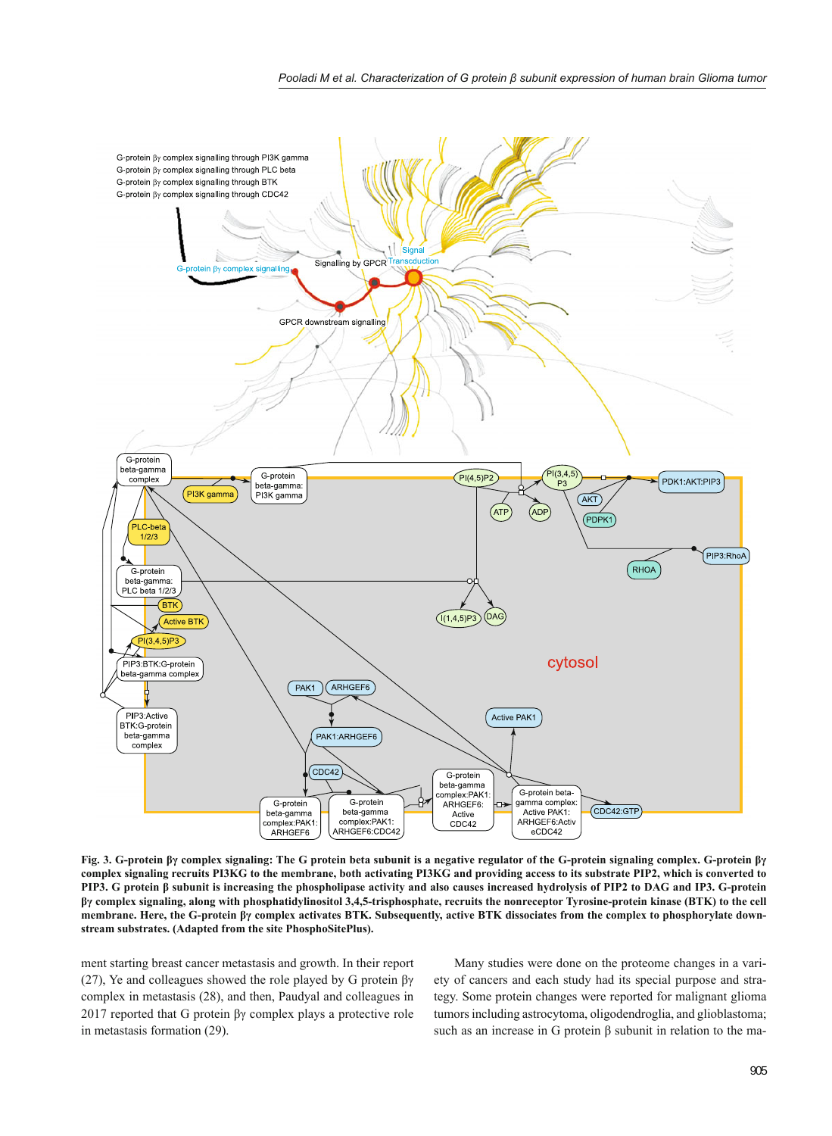

**Fig. 3. G-protein βγ complex signaling: The G protein beta subunit is a negative regulator of the G-protein signaling complex. G-protein βγ complex signaling recruits PI3KG to the membrane, both activating PI3KG and providing access to its substrate PIP2, which is converted to PIP3. G protein β subunit is increasing the phospholipase activity and also causes increased hydrolysis of PIP2 to DAG and IP3. G-protein βγ complex signaling, along with phosphatidylinositol 3,4,5-trisphosphate, recruits the nonreceptor Tyrosine-protein kinase (BTK) to the cell membrane. Here, the G-protein βγ complex activates BTK. Subsequently, active BTK dissociates from the complex to phosphorylate downstream substrates. (Adapted from the site PhosphoSitePlus).**

ment starting breast cancer metastasis and growth. In their report (27), Ye and colleagues showed the role played by G protein  $\beta\gamma$ complex in metastasis (28), and then, Paudyal and colleagues in 2017 reported that G protein βγ complex plays a protective role in metastasis formation (29).

Many studies were done on the proteome changes in a variety of cancers and each study had its special purpose and strategy. Some protein changes were reported for malignant glioma tumors including astrocytoma, oligodendroglia, and glioblastoma; such as an increase in G protein β subunit in relation to the ma